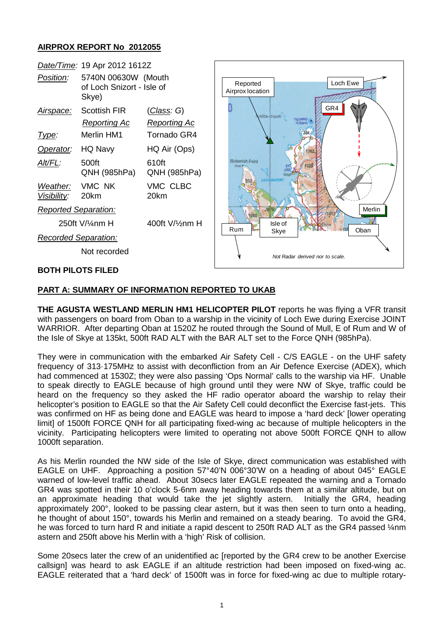## **AIRPROX REPORT No 2012055**

| Date/Time: 19 Apr 2012 1612Z |                                                           |                                           |                                                                      |
|------------------------------|-----------------------------------------------------------|-------------------------------------------|----------------------------------------------------------------------|
| Position:                    | 5740N 00630W (Mouth<br>of Loch Snizort - Isle of<br>Skye) |                                           | Loch Ewe<br>Reported<br>Airprox location                             |
| Airspace:                    | <b>Scottish FIR</b><br><b>Reporting Ac</b>                | <u>(Class</u> : G)<br><b>Reporting Ac</b> | GR4<br>ADDA-CHUAIN<br>FI(2)WRG<br>10.0secs<br><b>Waternish Point</b> |
| <u>Type:</u>                 | Merlin HM1                                                | Tornado GR4                               |                                                                      |
| Operator:                    | HQ Navy                                                   | HQ Air (Ops)                              |                                                                      |
| Alt/FL:                      | 500ft<br>QNH (985hPa)                                     | 610ft<br>QNH (985hPa)                     |                                                                      |
| Weather:<br>Visibility:      | VMC NK<br>20km                                            | VMC CLBC<br>20km                          |                                                                      |
| Reported Separation:         |                                                           |                                           | Merlin                                                               |
| 250ft V/¼nm H                |                                                           | 400ft V/1/2nm H                           | Isle of<br><b>Rum</b><br>Oban                                        |
| <b>Recorded Separation:</b>  |                                                           |                                           | Skye                                                                 |
| Not recorded                 |                                                           |                                           | Not Radar derived nor to scale.                                      |
| <b>BOTH PILOTS FILED</b>     |                                                           |                                           |                                                                      |

## **PART A: SUMMARY OF INFORMATION REPORTED TO UKAB**

**THE AGUSTA WESTLAND MERLIN HM1 HELICOPTER PILOT** reports he was flying a VFR transit with passengers on board from Oban to a warship in the vicinity of Loch Ewe during Exercise JOINT WARRIOR. After departing Oban at 1520Z he routed through the Sound of Mull, E of Rum and W of the Isle of Skye at 135kt, 500ft RAD ALT with the BAR ALT set to the Force QNH (985hPa).

They were in communication with the embarked Air Safety Cell - C/S EAGLE - on the UHF safety frequency of 313·175MHz to assist with deconfliction from an Air Defence Exercise (ADEX), which had commenced at 1530Z; they were also passing 'Ops Normal' calls to the warship via HF. Unable to speak directly to EAGLE because of high ground until they were NW of Skye, traffic could be heard on the frequency so they asked the HF radio operator aboard the warship to relay their helicopter's position to EAGLE so that the Air Safety Cell could deconflict the Exercise fast-jets. This was confirmed on HF as being done and EAGLE was heard to impose a 'hard deck' llower operating limit] of 1500ft FORCE QNH for all participating fixed-wing ac because of multiple helicopters in the vicinity. Participating helicopters were limited to operating not above 500ft FORCE QNH to allow 1000ft separation.

As his Merlin rounded the NW side of the Isle of Skye, direct communication was established with EAGLE on UHF. Approaching a position 57°40'N 006°30'W on a heading of about 045° EAGLE warned of low-level traffic ahead. About 30secs later EAGLE repeated the warning and a Tornado GR4 was spotted in their 10 o'clock 5-6nm away heading towards them at a similar altitude, but on an approximate heading that would take the jet slightly astern. Initially the GR4, heading approximately 200°, looked to be passing clear astern, but it was then seen to turn onto a heading, he thought of about 150°, towards his Merlin and remained on a steady bearing. To avoid the GR4, he was forced to turn hard R and initiate a rapid descent to 250ft RAD ALT as the GR4 passed 1/4nm astern and 250ft above his Merlin with a 'high' Risk of collision.

Some 20secs later the crew of an unidentified ac [reported by the GR4 crew to be another Exercise callsign] was heard to ask EAGLE if an altitude restriction had been imposed on fixed-wing ac. EAGLE reiterated that a 'hard deck' of 1500ft was in force for fixed-wing ac due to multiple rotary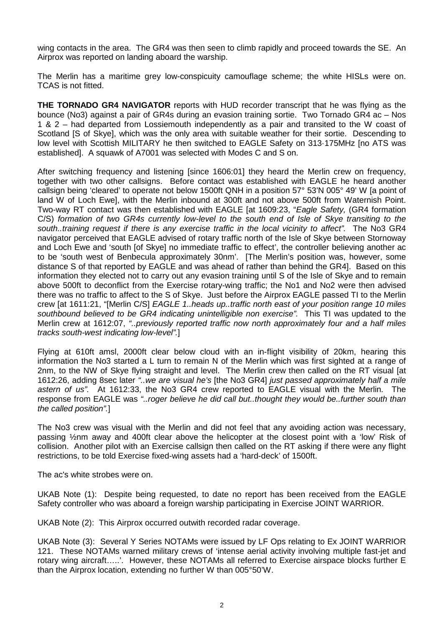wing contacts in the area. The GR4 was then seen to climb rapidly and proceed towards the SE. An Airprox was reported on landing aboard the warship.

The Merlin has a maritime grey low-conspicuity camouflage scheme; the white HISLs were on. TCAS is not fitted.

**THE TORNADO GR4 NAVIGATOR** reports with HUD recorder transcript that he was flying as the bounce (No3) against a pair of GR4s during an evasion training sortie. Two Tornado GR4 ac – Nos 1 & 2 – had departed from Lossiemouth independently as a pair and transited to the W coast of Scotland [S of Skye], which was the only area with suitable weather for their sortie. Descending to low level with Scottish MILITARY he then switched to EAGLE Safety on 313·175MHz [no ATS was established]. A squawk of A7001 was selected with Modes C and S on.

After switching frequency and listening [since 1606:01] they heard the Merlin crew on frequency, together with two other callsigns. Before contact was established with EAGLE he heard another callsign being 'cleared' to operate not below 1500ft QNH in a position 57° 53'N 005° 49' W [a point of land W of Loch Ewe], with the Merlin inbound at 300ft and not above 500ft from Waternish Point. Two-way RT contact was then established with EAGLE [at 1609:23, "*Eagle Safety,* (GR4 formation C/S) *formation of two GR4s currently low-level to the south end of Isle of Skye transiting to the south..training request if there is any exercise traffic in the local vicinity to affect".* The No3 GR4 navigator perceived that EAGLE advised of rotary traffic north of the Isle of Skye between Stornoway and Loch Ewe and 'south [of Skye] no immediate traffic to effect', the controller believing another ac to be 'south west of Benbecula approximately 30nm'. [The Merlin's position was, however, some distance S of that reported by EAGLE and was ahead of rather than behind the GR4]. Based on this information they elected not to carry out any evasion training until S of the Isle of Skye and to remain above 500ft to deconflict from the Exercise rotary-wing traffic; the No1 and No2 were then advised there was no traffic to affect to the S of Skye. Just before the Airprox EAGLE passed TI to the Merlin crew [at 1611:21, "[Merlin C/S] *EAGLE 1..heads up..traffic north east of your position range 10 miles southbound believed to be GR4 indicating unintelligible non exercise".* This TI was updated to the Merlin crew at 1612:07, *"..previously reported traffic now north approximately four and a half miles tracks south-west indicating low-level".*]

Flying at 610ft amsl, 2000ft clear below cloud with an in-flight visibility of 20km, hearing this information the No3 started a L turn to remain N of the Merlin which was first sighted at a range of 2nm, to the NW of Skye flying straight and level. The Merlin crew then called on the RT visual [at 1612:26, adding 8sec later *"..we are visual he's* [the No3 GR4] *just passed approximately half a mile astern of us".* At 1612:33, the No3 GR4 crew reported to EAGLE visual with the Merlin. The response from EAGLE was *"..roger believe he did call but..thought they would be..further south than the called position".*]

The No3 crew was visual with the Merlin and did not feel that any avoiding action was necessary, passing ½nm away and 400ft clear above the helicopter at the closest point with a 'low' Risk of collision. Another pilot with an Exercise callsign then called on the RT asking if there were any flight restrictions, to be told Exercise fixed-wing assets had a 'hard-deck' of 1500ft.

The ac's white strobes were on.

UKAB Note (1): Despite being requested, to date no report has been received from the EAGLE Safety controller who was aboard a foreign warship participating in Exercise JOINT WARRIOR.

UKAB Note (2): This Airprox occurred outwith recorded radar coverage.

UKAB Note (3): Several Y Series NOTAMs were issued by LF Ops relating to Ex JOINT WARRIOR 121. These NOTAMs warned military crews of 'intense aerial activity involving multiple fast-jet and rotary wing aircraft…..'. However, these NOTAMs all referred to Exercise airspace blocks further E than the Airprox location, extending no further W than 005°50'W.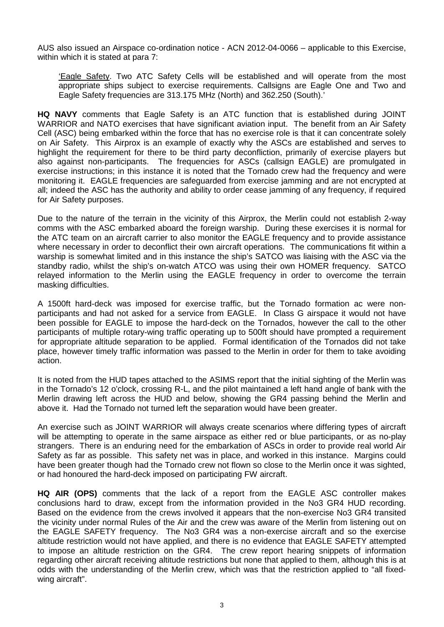AUS also issued an Airspace co-ordination notice - ACN 2012-04-0066 – applicable to this Exercise, within which it is stated at para 7:

'Eagle Safety. Two ATC Safety Cells will be established and will operate from the most appropriate ships subject to exercise requirements. Callsigns are Eagle One and Two and Eagle Safety frequencies are 313.175 MHz (North) and 362.250 (South).'

**HQ NAVY** comments that Eagle Safety is an ATC function that is established during JOINT WARRIOR and NATO exercises that have significant aviation input. The benefit from an Air Safety Cell (ASC) being embarked within the force that has no exercise role is that it can concentrate solely on Air Safety. This Airprox is an example of exactly why the ASCs are established and serves to highlight the requirement for there to be third party deconfliction, primarily of exercise players but also against non-participants. The frequencies for ASCs (callsign EAGLE) are promulgated in exercise instructions; in this instance it is noted that the Tornado crew had the frequency and were monitoring it. EAGLE frequencies are safeguarded from exercise jamming and are not encrypted at all; indeed the ASC has the authority and ability to order cease jamming of any frequency, if required for Air Safety purposes.

Due to the nature of the terrain in the vicinity of this Airprox, the Merlin could not establish 2-way comms with the ASC embarked aboard the foreign warship. During these exercises it is normal for the ATC team on an aircraft carrier to also monitor the EAGLE frequency and to provide assistance where necessary in order to deconflict their own aircraft operations. The communications fit within a warship is somewhat limited and in this instance the ship's SATCO was liaising with the ASC via the standby radio, whilst the ship's on-watch ATCO was using their own HOMER frequency. SATCO relayed information to the Merlin using the EAGLE frequency in order to overcome the terrain masking difficulties.

A 1500ft hard-deck was imposed for exercise traffic, but the Tornado formation ac were nonparticipants and had not asked for a service from EAGLE. In Class G airspace it would not have been possible for EAGLE to impose the hard-deck on the Tornados, however the call to the other participants of multiple rotary-wing traffic operating up to 500ft should have prompted a requirement for appropriate altitude separation to be applied. Formal identification of the Tornados did not take place, however timely traffic information was passed to the Merlin in order for them to take avoiding action.

It is noted from the HUD tapes attached to the ASIMS report that the initial sighting of the Merlin was in the Tornado's 12 o'clock, crossing R-L, and the pilot maintained a left hand angle of bank with the Merlin drawing left across the HUD and below, showing the GR4 passing behind the Merlin and above it. Had the Tornado not turned left the separation would have been greater.

An exercise such as JOINT WARRIOR will always create scenarios where differing types of aircraft will be attempting to operate in the same airspace as either red or blue participants, or as no-play strangers. There is an enduring need for the embarkation of ASCs in order to provide real world Air Safety as far as possible. This safety net was in place, and worked in this instance. Margins could have been greater though had the Tornado crew not flown so close to the Merlin once it was sighted, or had honoured the hard-deck imposed on participating FW aircraft.

**HQ AIR (OPS)** comments that the lack of a report from the EAGLE ASC controller makes conclusions hard to draw, except from the information provided in the No3 GR4 HUD recording. Based on the evidence from the crews involved it appears that the non-exercise No3 GR4 transited the vicinity under normal Rules of the Air and the crew was aware of the Merlin from listening out on the EAGLE SAFETY frequency. The No3 GR4 was a non-exercise aircraft and so the exercise altitude restriction would not have applied, and there is no evidence that EAGLE SAFETY attempted to impose an altitude restriction on the GR4. The crew report hearing snippets of information regarding other aircraft receiving altitude restrictions but none that applied to them, although this is at odds with the understanding of the Merlin crew, which was that the restriction applied to "all fixedwing aircraft".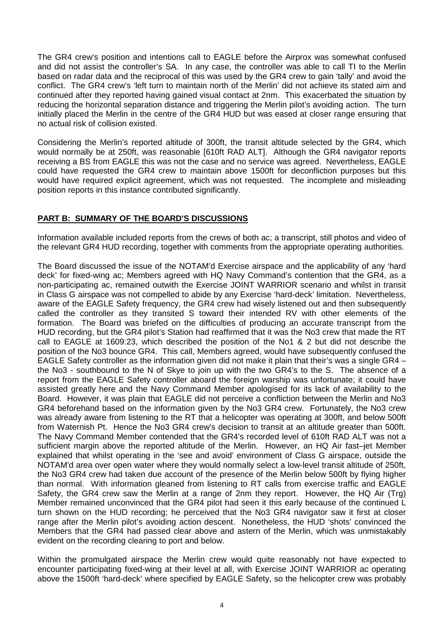The GR4 crew's position and intentions call to EAGLE before the Airprox was somewhat confused and did not assist the controller's SA. In any case, the controller was able to call TI to the Merlin based on radar data and the reciprocal of this was used by the GR4 crew to gain 'tally' and avoid the conflict. The GR4 crew's 'left turn to maintain north of the Merlin' did not achieve its stated aim and continued after they reported having gained visual contact at 2nm. This exacerbated the situation by reducing the horizontal separation distance and triggering the Merlin pilot's avoiding action. The turn initially placed the Merlin in the centre of the GR4 HUD but was eased at closer range ensuring that no actual risk of collision existed.

Considering the Merlin's reported altitude of 300ft, the transit altitude selected by the GR4, which would normally be at 250ft, was reasonable [610ft RAD ALT]. Although the GR4 navigator reports receiving a BS from EAGLE this was not the case and no service was agreed. Nevertheless, EAGLE could have requested the GR4 crew to maintain above 1500ft for deconfliction purposes but this would have required explicit agreement, which was not requested. The incomplete and misleading position reports in this instance contributed significantly.

## **PART B: SUMMARY OF THE BOARD'S DISCUSSIONS**

Information available included reports from the crews of both ac; a transcript, still photos and video of the relevant GR4 HUD recording, together with comments from the appropriate operating authorities.

The Board discussed the issue of the NOTAM'd Exercise airspace and the applicability of any 'hard deck' for fixed-wing ac; Members agreed with HQ Navy Command's contention that the GR4, as a non-participating ac, remained outwith the Exercise JOINT WARRIOR scenario and whilst in transit in Class G airspace was not compelled to abide by any Exercise 'hard-deck' limitation. Nevertheless, aware of the EAGLE Safety frequency, the GR4 crew had wisely listened out and then subsequently called the controller as they transited S toward their intended RV with other elements of the formation. The Board was briefed on the difficulties of producing an accurate transcript from the HUD recording, but the GR4 pilot's Station had reaffirmed that it was the No3 crew that made the RT call to EAGLE at 1609:23, which described the position of the No1 & 2 but did not describe the position of the No3 bounce GR4. This call, Members agreed, would have subsequently confused the EAGLE Safety controller as the information given did not make it plain that their's was a single GR4 – the No3 - southbound to the N of Skye to join up with the two GR4's to the S. The absence of a report from the EAGLE Safety controller aboard the foreign warship was unfortunate; it could have assisted greatly here and the Navy Command Member apologised for its lack of availability to the Board. However, it was plain that EAGLE did not perceive a confliction between the Merlin and No3 GR4 beforehand based on the information given by the No3 GR4 crew. Fortunately, the No3 crew was already aware from listening to the RT that a helicopter was operating at 300ft, and below 500ft from Waternish Pt. Hence the No3 GR4 crew's decision to transit at an altitude greater than 500ft. The Navy Command Member contended that the GR4's recorded level of 610ft RAD ALT was not a sufficient margin above the reported altitude of the Merlin. However, an HQ Air fast–jet Member explained that whilst operating in the 'see and avoid' environment of Class G airspace, outside the NOTAM'd area over open water where they would normally select a low-level transit altitude of 250ft, the No3 GR4 crew had taken due account of the presence of the Merlin below 500ft by flying higher than normal. With information gleaned from listening to RT calls from exercise traffic and EAGLE Safety, the GR4 crew saw the Merlin at a range of 2nm they report. However, the HQ Air (Trg) Member remained unconvinced that the GR4 pilot had seen it this early because of the continued L turn shown on the HUD recording; he perceived that the No3 GR4 navigator saw it first at closer range after the Merlin pilot's avoiding action descent. Nonetheless, the HUD 'shots' convinced the Members that the GR4 had passed clear above and astern of the Merlin, which was unmistakably evident on the recording clearing to port and below.

Within the promulgated airspace the Merlin crew would quite reasonably not have expected to encounter participating fixed-wing at their level at all, with Exercise JOINT WARRIOR ac operating above the 1500ft 'hard-deck' where specified by EAGLE Safety, so the helicopter crew was probably